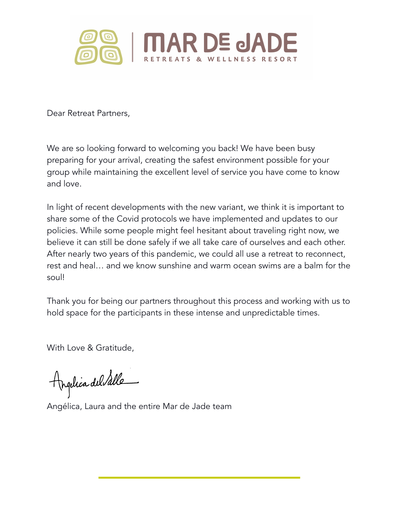

Dear Retreat Partners,

We are so looking forward to welcoming you back! We have been busy preparing for your arrival, creating the safest environment possible for your group while maintaining the excellent level of service you have come to know and love.

In light of recent developments with the new variant, we think it is important to share some of the Covid protocols we have implemented and updates to our policies. While some people might feel hesitant about traveling right now, we believe it can still be done safely if we all take care of ourselves and each other. After nearly two years of this pandemic, we could all use a retreat to reconnect, rest and heal… and we know sunshine and warm ocean swims are a balm for the soul!

Thank you for being our partners throughout this process and working with us to hold space for the participants in these intense and unpredictable times.

With Love & Gratitude,

Angelica del Salle

Angélica, Laura and the entire Mar de Jade team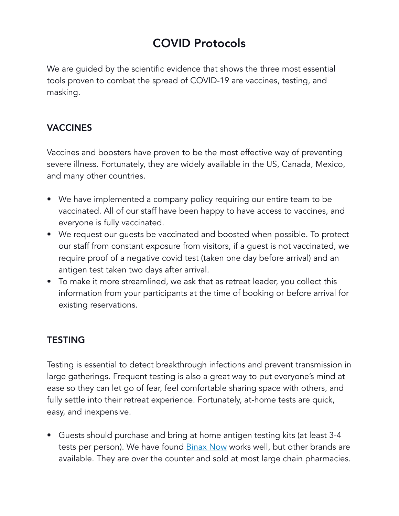# COVID Protocols

We are guided by the scientific evidence that shows the three most essential tools proven to combat the spread of COVID-19 are vaccines, testing, and masking.

### VACCINES

Vaccines and boosters have proven to be the most effective way of preventing severe illness. Fortunately, they are widely available in the US, Canada, Mexico, and many other countries.

- We have implemented a company policy requiring our entire team to be vaccinated. All of our staff have been happy to have access to vaccines, and everyone is fully vaccinated.
- We request our guests be vaccinated and boosted when possible. To protect our staff from constant exposure from visitors, if a guest is not vaccinated, we require proof of a negative covid test (taken one day before arrival) and an antigen test taken two days after arrival.
- To make it more streamlined, we ask that as retreat leader, you collect this information from your participants at the time of booking or before arrival for existing reservations.

### **TESTING**

Testing is essential to detect breakthrough infections and prevent transmission in large gatherings. Frequent testing is also a great way to put everyone's mind at ease so they can let go of fear, feel comfortable sharing space with others, and fully settle into their retreat experience. Fortunately, at-home tests are quick, easy, and inexpensive.

• Guests should purchase and bring at home antigen testing kits (at least 3-4 tests per person). We have found **[Binax Now](https://www.walgreens.com/store/c/binaxnow-covid-19-antigen-rapid-self-test-at-home-kit/ID=300414527-product) works well**, but other brands are available. They are over the counter and sold at most large chain pharmacies.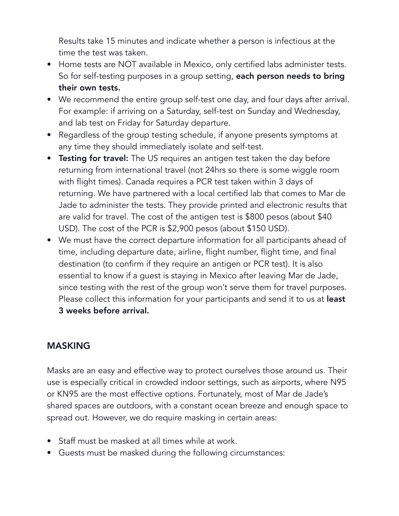Results take 15 minutes and indicate whether a person is infectious at the time the test was taken.

- Home tests are NOT available in Mexico, only certified labs administer tests. So for self-testing purposes in a group setting, each person needs to bring their own tests.
- We recommend the entire group self-test one day, and four days after arrival. For example: if arriving on a Saturday, self-test on Sunday and Wednesday, and lab test on Friday for Saturday departure.
- Regardless of the group testing schedule, if anyone presents symptoms at any time they should immediately isolate and self-test.
- Testing for travel: The US requires an antigen test taken the day before returning from international travel (not 24hrs so there is some wiggle room with flight times). Canada requires a PCR test taken within 3 days of returning. We have partnered with a local certified lab that comes to Mar de Jade to administer the tests. They provide printed and electronic results that are valid for travel. The cost of the antigen test is \$800 pesos (about \$40 USD). The cost of the PCR is \$2,900 pesos (about \$150 USD).
- We must have the correct departure information for all participants ahead of time, including departure date, airline, flight number, flight time, and final destination (to confirm if they require an antigen or PCR test). It is also essential to know if a guest is staying in Mexico after leaving Mar de Jade, since testing with the rest of the group won't serve them for travel purposes. Please collect this information for your participants and send it to us at least 3 weeks before arrival.

### MASKING

Masks are an easy and effective way to protect ourselves those around us. Their use is especially critical in crowded indoor settings, such as airports, where N95 or KN95 are the most effective options. Fortunately, most of Mar de Jade's shared spaces are outdoors, with a constant ocean breeze and enough space to spread out. However, we do require masking in certain areas:

- Staff must be masked at all times while at work.
- Guests must be masked during the following circumstances: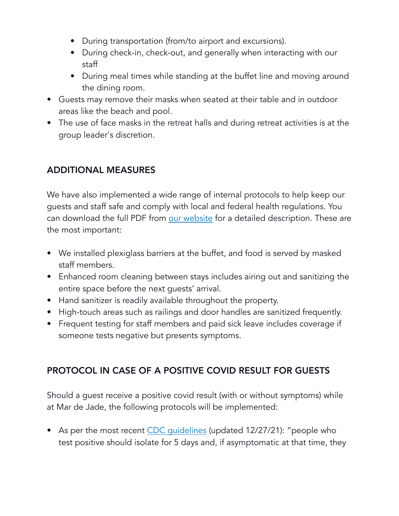- During transportation (from/to airport and excursions).
- During check-in, check-out, and generally when interacting with our staff
- During meal times while standing at the buffet line and moving around the dining room.
- Guests may remove their masks when seated at their table and in outdoor areas like the beach and pool.
- The use of face masks in the retreat halls and during retreat activities is at the group leader's discretion.

## ADDITIONAL MEASURES

We have also implemented a wide range of internal protocols to help keep our guests and staff safe and comply with local and federal health regulations. You can download the full PDF from [our website](https://mardejade.com/covid/health-safety-protocols-2020-2021/) for a detailed description. These are the most important:

- We installed plexiglass barriers at the buffet, and food is served by masked staff members.
- Enhanced room cleaning between stays includes airing out and sanitizing the entire space before the next guests' arrival.
- Hand sanitizer is readily available throughout the property.
- High-touch areas such as railings and door handles are sanitized frequently.
- Frequent testing for staff members and paid sick leave includes coverage if someone tests negative but presents symptoms.

## PROTOCOL IN CASE OF A POSITIVE COVID RESULT FOR GUESTS

Should a guest receive a positive covid result (with or without symptoms) while at Mar de Jade, the following protocols will be implemented:

• As per the most recent CDC quidelines (updated 12/27/21): "people who test positive should isolate for 5 days and, if asymptomatic at that time, they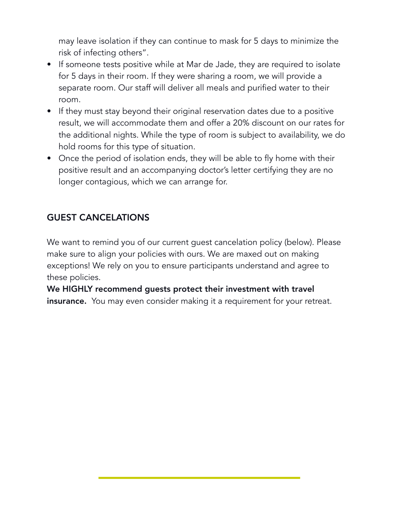may leave isolation if they can continue to mask for 5 days to minimize the risk of infecting others".

- If someone tests positive while at Mar de Jade, they are required to isolate for 5 days in their room. If they were sharing a room, we will provide a separate room. Our staff will deliver all meals and purified water to their room.
- If they must stay beyond their original reservation dates due to a positive result, we will accommodate them and offer a 20% discount on our rates for the additional nights. While the type of room is subject to availability, we do hold rooms for this type of situation.
- Once the period of isolation ends, they will be able to fly home with their positive result and an accompanying doctor's letter certifying they are no longer contagious, which we can arrange for.

## GUEST CANCELATIONS

We want to remind you of our current guest cancelation policy (below). Please make sure to align your policies with ours. We are maxed out on making exceptions! We rely on you to ensure participants understand and agree to these policies.

We HIGHLY recommend guests protect their investment with travel insurance. You may even consider making it a requirement for your retreat.